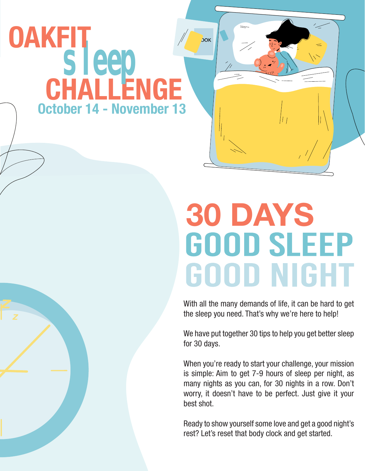## **CHALLENGE sleep** OAKFIT October 14 - November 13

## 30 DAYS<br>GOOD SLEEP **GOOD NIGHT**

όοκ

With all the many demands of life, it can be hard to get the sleep you need. That's why we're here to help!

We have put together 30 tips to help you get better sleep for 30 days.

When you're ready to start your challenge, your mission is simple: Aim to get 7-9 hours of sleep per night, as many nights as you can, for 30 nights in a row. Don't worry, it doesn't have to be perfect. Just give it your best shot.

Ready to show yourself some love and get a good night's rest? Let's reset that body clock and get started.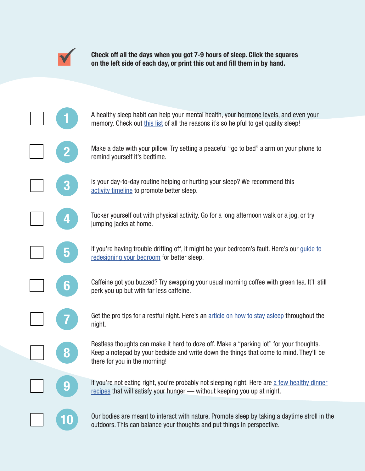

Check off all the days when you got 7-9 hours of sleep. Click the squares on the left side of each day, or print this out and fill them in by hand.

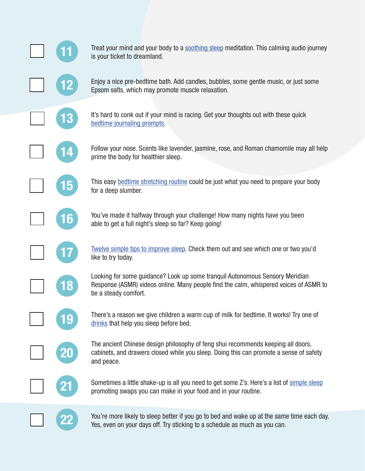

21

22

Treat your mind and your body to a [soothing sleep](https://www.youtube.com/watch?v=1ZYbU82GVz4) meditation. This calming audio journey is your ticket to dreamland.

Enjoy a nice pre-bedtime bath. Add candles, bubbles, some gentle music, or just some Epsom salts, which may promote muscle relaxation.

It's hard to conk out if your mind is racing. Get your thoughts out with these quick [bedtime journaling prompts.](https://livongo.zendesk.com/hc/en-us/articles/360057438073-5-Bedtime-Journaling-Prompts)

Follow your nose. Scents like lavender, jasmine, rose, and Roman chamomile may all help prime the body for healthier sleep.

This easy [bedtime stretching routine](https://www.healthline.com/health/stretching-before-bed) could be just what you need to prepare your body for a deep slumber.

You've made it halfway through your challenge! How many nights have you been able to get a full night's sleep so far? Keep going!

[Twelve simple tips to improve sleep.](https://healthysleep.med.harvard.edu/healthy/getting/overcoming/tips) Check them out and see which one or two you'd like to try today.

Looking for some guidance? Look up some tranquil Autonomous Sensory Meridian Response (ASMR) videos online. Many people find the calm, whispered voices of ASMR to be a steady comfort.

There's a reason we give children a warm cup of milk for bedtime. It works! Try one of [drinks](https://www.healthline.com/nutrition/drinks-that-help-you-sleep) that help you sleep before bed.

The ancient Chinese design philosophy of feng shui recommends keeping all doors, cabinets, and drawers closed while you sleep. Doing this can promote a sense of safety and peace.

Sometimes a little shake-up is all you need to get some Z's. Here's a list of [simple sleep](https://www.self.com/gallery/eat-avoid-peaceful-nights-sleep-slideshow) promoting swaps you can make in your food and in your routine.

You're more likely to sleep better if you go to bed and wake up at the same time each day. Yes, even on your days off. Try sticking to a schedule as much as you can.